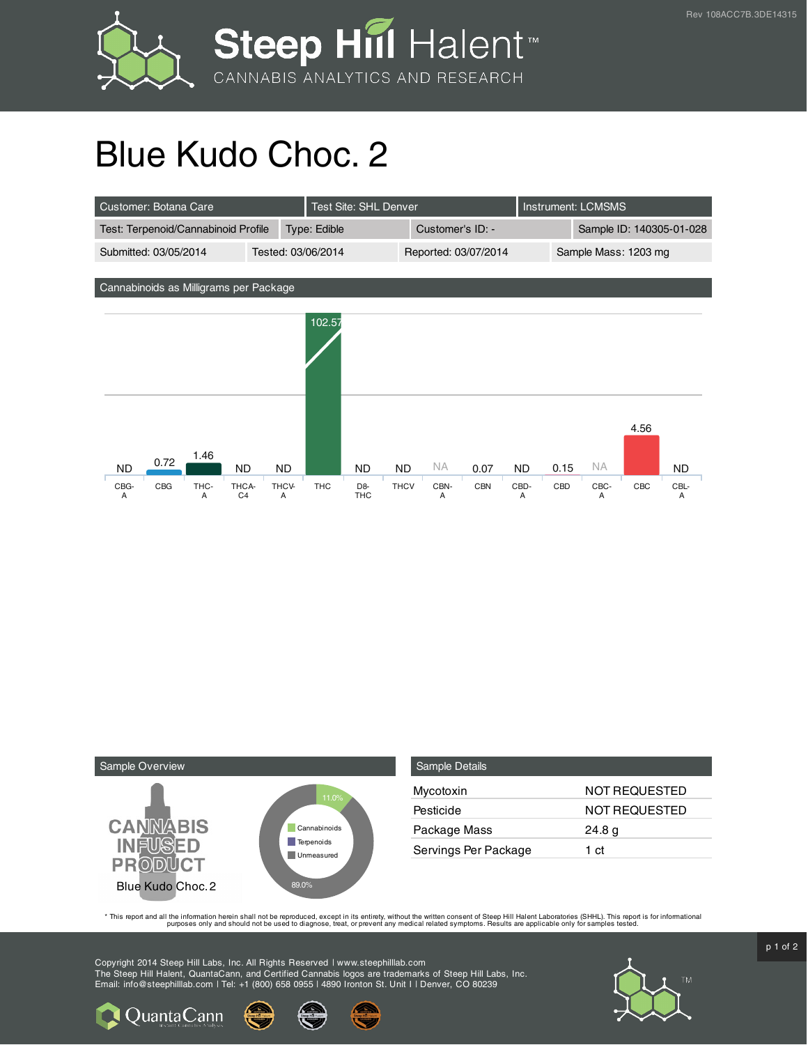

## Blue Kudo Choc. 2





| <b>Sample Details</b> |                      |
|-----------------------|----------------------|
| Mycotoxin             | <b>NOT REQUESTED</b> |
| Pesticide             | NOT REQUESTED        |
| Package Mass          | 24.8 g               |
| Servings Per Package  | 1 ct                 |

This report and all the information herein shall not be reporduced, except in its entirety, without the written consent of Steep Hill Halent Laboratories (SHHL). This report is for informational all the instance, treat, or

Copyright 2014 Steep Hill Labs, Inc. All Rights Reserved | www.steephilllab.com The Steep Hill Halent, QuantaCann, and Certified Cannabis logos are trademarks of Steep Hill Labs, Inc. Email: info@steephilllab.com | Tel: +1 (800) 658 0955 | 4890 Ironton St. Unit I | Denver, CO 80239